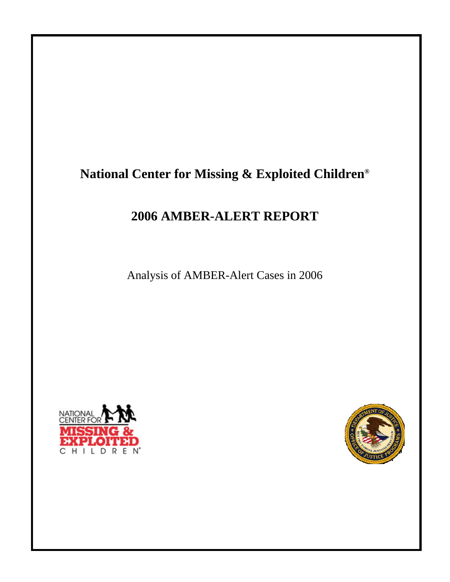# **National Center for Missing & Exploited Children®**

# **2006 AMBER-ALERT REPORT**

Analysis of AMBER-Alert Cases in 2006



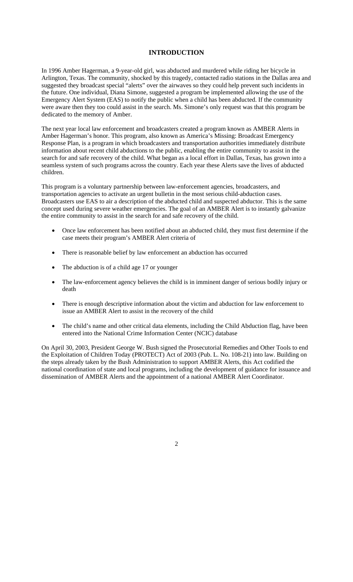### **INTRODUCTION**

In 1996 Amber Hagerman, a 9-year-old girl, was abducted and murdered while riding her bicycle in Arlington, Texas. The community, shocked by this tragedy, contacted radio stations in the Dallas area and suggested they broadcast special "alerts" over the airwaves so they could help prevent such incidents in the future. One individual, Diana Simone, suggested a program be implemented allowing the use of the Emergency Alert System (EAS) to notify the public when a child has been abducted. If the community were aware then they too could assist in the search. Ms. Simone's only request was that this program be dedicated to the memory of Amber.

The next year local law enforcement and broadcasters created a program known as AMBER Alerts in Amber Hagerman's honor. This program, also known as America's Missing: Broadcast Emergency Response Plan, is a program in which broadcasters and transportation authorities immediately distribute information about recent child abductions to the public, enabling the entire community to assist in the search for and safe recovery of the child. What began as a local effort in Dallas, Texas, has grown into a seamless system of such programs across the country. Each year these Alerts save the lives of abducted children.

This program is a voluntary partnership between law-enforcement agencies, broadcasters, and transportation agencies to activate an urgent bulletin in the most serious child-abduction cases. Broadcasters use EAS to air a description of the abducted child and suspected abductor. This is the same concept used during severe weather emergencies. The goal of an AMBER Alert is to instantly galvanize the entire community to assist in the search for and safe recovery of the child.

- Once law enforcement has been notified about an abducted child, they must first determine if the case meets their program's AMBER Alert criteria of
- There is reasonable belief by law enforcement an abduction has occurred
- The abduction is of a child age 17 or younger
- The law-enforcement agency believes the child is in imminent danger of serious bodily injury or death
- There is enough descriptive information about the victim and abduction for law enforcement to issue an AMBER Alert to assist in the recovery of the child
- The child's name and other critical data elements, including the Child Abduction flag, have been entered into the National Crime Information Center (NCIC) database

On April 30, 2003, President George W. Bush signed the Prosecutorial Remedies and Other Tools to end the Exploitation of Children Today (PROTECT) Act of 2003 (Pub. L. No. 108-21) into law. Building on the steps already taken by the Bush Administration to support AMBER Alerts, this Act codified the national coordination of state and local programs, including the development of guidance for issuance and dissemination of AMBER Alerts and the appointment of a national AMBER Alert Coordinator.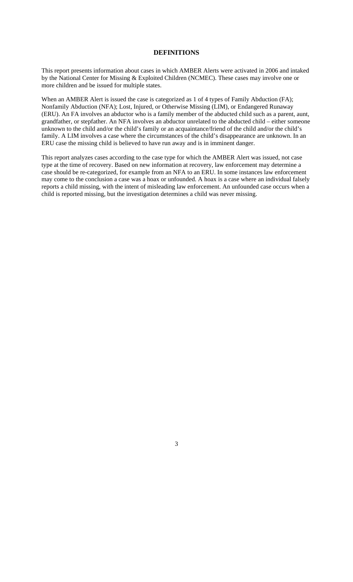### **DEFINITIONS**

This report presents information about cases in which AMBER Alerts were activated in 2006 and intaked by the National Center for Missing & Exploited Children (NCMEC). These cases may involve one or more children and be issued for multiple states.

When an AMBER Alert is issued the case is categorized as 1 of 4 types of Family Abduction (FA); Nonfamily Abduction (NFA); Lost, Injured, or Otherwise Missing (LIM), or Endangered Runaway (ERU). An FA involves an abductor who is a family member of the abducted child such as a parent, aunt, grandfather, or stepfather. An NFA involves an abductor unrelated to the abducted child – either someone unknown to the child and/or the child's family or an acquaintance/friend of the child and/or the child's family. A LIM involves a case where the circumstances of the child's disappearance are unknown. In an ERU case the missing child is believed to have run away and is in imminent danger.

This report analyzes cases according to the case type for which the AMBER Alert was issued, not case type at the time of recovery. Based on new information at recovery, law enforcement may determine a case should be re-categorized, for example from an NFA to an ERU. In some instances law enforcement may come to the conclusion a case was a hoax or unfounded. A hoax is a case where an individual falsely reports a child missing, with the intent of misleading law enforcement. An unfounded case occurs when a child is reported missing, but the investigation determines a child was never missing.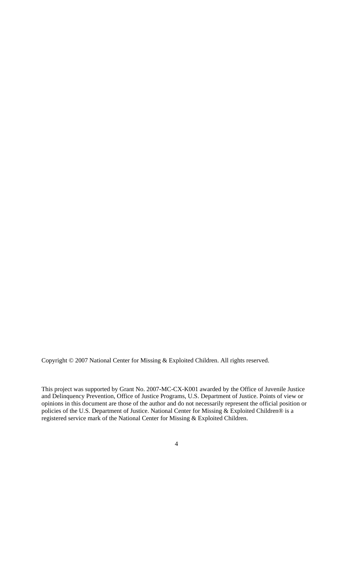Copyright © 2007 National Center for Missing & Exploited Children. All rights reserved.

This project was supported by Grant No. 2007-MC-CX-K001 awarded by the Office of Juvenile Justice and Delinquency Prevention, Office of Justice Programs, U.S. Department of Justice. Points of view or opinions in this document are those of the author and do not necessarily represent the official position or policies of the U.S. Department of Justice. National Center for Missing & Exploited Children® is a registered service mark of the National Center for Missing & Exploited Children.

<sup>4</sup>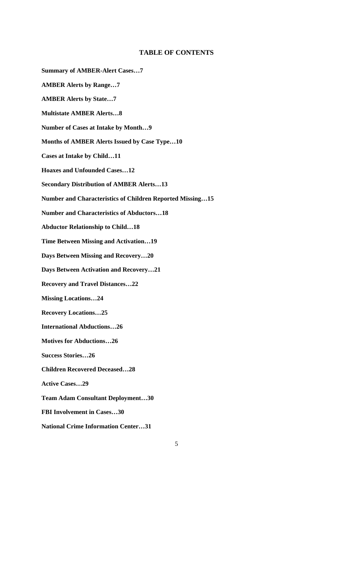### **TABLE OF CONTENTS**

**Summary of AMBER-Alert Cases…7 AMBER Alerts by Range…7 AMBER Alerts by State…7 Multistate AMBER Alerts…8 Number of Cases at Intake by Month…9 Months of AMBER Alerts Issued by Case Type…10 Cases at Intake by Child…11 Hoaxes and Unfounded Cases…12 Secondary Distribution of AMBER Alerts…13 Number and Characteristics of Children Reported Missing…15 Number and Characteristics of Abductors…18 Abductor Relationship to Child…18 Time Between Missing and Activation…19 Days Between Missing and Recovery…20 Days Between Activation and Recovery…21 Recovery and Travel Distances…22 Missing Locations…24 Recovery Locations…25 International Abductions…26 Motives for Abductions…26 Success Stories…26 Children Recovered Deceased…28 Active Cases…29 Team Adam Consultant Deployment…30 FBI Involvement in Cases…30 National Crime Information Center…31**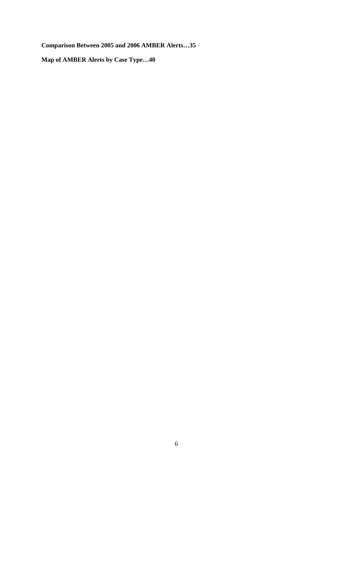**Comparison Between 2005 and 2006 AMBER Alerts…35** 

**Map of AMBER Alerts by Case Type…40**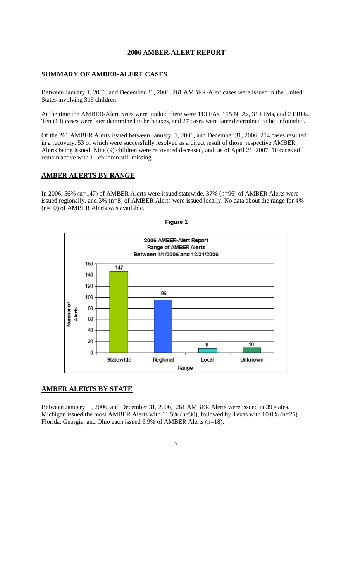### **2006 AMBER-ALERT REPORT**

### **SUMMARY OF AMBER-ALERT CASES**

Between January 1, 2006, and December 31, 2006, 261 AMBER-Alert cases were issued in the United States involving 316 children.

At the time the AMBER-Alert cases were intaked there were 113 FAs, 115 NFAs, 31 LIMs, and 2 ERUs. Ten (10) cases were later determined to be hoaxes, and 27 cases were later determined to be unfounded.

Of the 261 AMBER Alerts issued between January 1, 2006, and December 31, 2006, 214 cases resulted in a recovery, 53 of which were successfully resolved as a direct result of those respective AMBER Alerts being issued. Nine (9) children were recovered deceased, and, as of April 21, 2007, 10 cases still remain active with 11 children still missing.

### **AMBER ALERTS BY RANGE**

In 2006, 56% (n=147) of AMBER Alerts were issued statewide, 37% (n=96) of AMBER Alerts were issued regionally, and 3% (n=8) of AMBER Alerts were issued locally. No data about the range for 4% (n=10) of AMBER Alerts was available.





# **AMBER ALERTS BY STATE**

Between January 1, 2006, and December 31, 2006, 261 AMBER Alerts were issued in 39 states. Michigan issued the most AMBER Alerts with 11.5% (n=30), followed by Texas with 10.0% (n=26). Florida, Georgia, and Ohio each issued 6.9% of AMBER Alerts (n=18).

<sup>7</sup>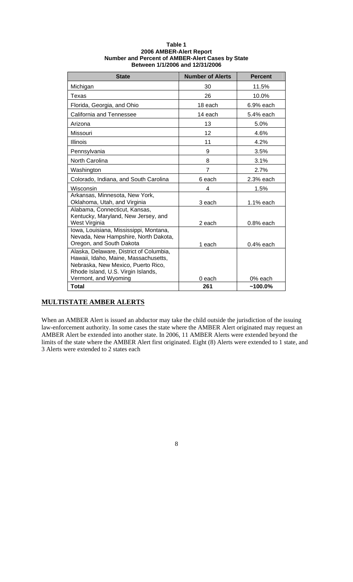| <b>State</b>                                                                                                                                                | <b>Number of Alerts</b> | <b>Percent</b>        |
|-------------------------------------------------------------------------------------------------------------------------------------------------------------|-------------------------|-----------------------|
| Michigan                                                                                                                                                    | 30                      | 11.5%                 |
| Texas                                                                                                                                                       | 26                      | 10.0%                 |
| Florida, Georgia, and Ohio                                                                                                                                  | 18 each                 | $6.9%$ each           |
| California and Tennessee                                                                                                                                    | 14 each                 | 5.4% each             |
| Arizona                                                                                                                                                     | 13                      | 5.0%                  |
| Missouri                                                                                                                                                    | 12                      | 4.6%                  |
| <b>Illinois</b>                                                                                                                                             | 11                      | 4.2%                  |
| Pennsylvania                                                                                                                                                | 9                       | 3.5%                  |
| North Carolina                                                                                                                                              | 8                       | 3.1%                  |
| Washington                                                                                                                                                  | 7                       | 2.7%                  |
| Colorado, Indiana, and South Carolina                                                                                                                       | 6 each                  | 2.3% each             |
| Wisconsin                                                                                                                                                   | 4                       | 1.5%                  |
| Arkansas, Minnesota, New York,<br>Oklahoma, Utah, and Virginia                                                                                              | 3 each                  | 1.1% each             |
| Alabama, Connecticut, Kansas,<br>Kentucky, Maryland, New Jersey, and<br>West Virginia                                                                       | 2 each                  | $0.8%$ each           |
| Iowa, Louisiana, Mississippi, Montana,<br>Nevada, New Hampshire, North Dakota,<br>Oregon, and South Dakota                                                  | 1 each                  | $0.4%$ each           |
| Alaska, Delaware, District of Columbia,<br>Hawaii, Idaho, Maine, Massachusetts,<br>Nebraska, New Mexico, Puerto Rico,<br>Rhode Island, U.S. Virgin Islands, |                         |                       |
| Vermont, and Wyoming<br><b>Total</b>                                                                                                                        | 0 each<br>261           | 0% each<br>$~100.0\%$ |

### **Table 1 2006 AMBER-Alert Report Number and Percent of AMBER-Alert Cases by State Between 1/1/2006 and 12/31/2006**

# **MULTISTATE AMBER ALERTS**

When an AMBER Alert is issued an abductor may take the child outside the jurisdiction of the issuing law-enforcement authority. In some cases the state where the AMBER Alert originated may request an AMBER Alert be extended into another state. In 2006, 11 AMBER Alerts were extended beyond the limits of the state where the AMBER Alert first originated. Eight (8) Alerts were extended to 1 state, and 3 Alerts were extended to 2 states each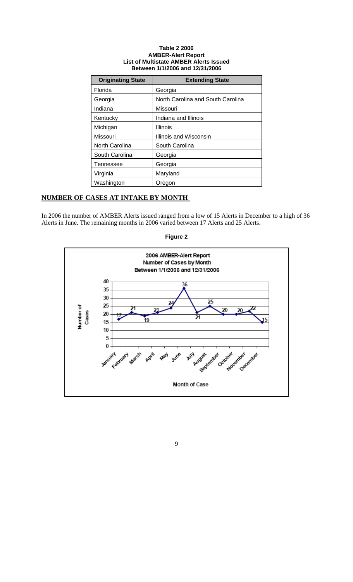### **Table 2 2006 AMBER-Alert Report List of Multistate AMBER Alerts Issued Between 1/1/2006 and 12/31/2006**

| <b>Originating State</b> | <b>Extending State</b>            |
|--------------------------|-----------------------------------|
| Florida                  | Georgia                           |
| Georgia                  | North Carolina and South Carolina |
| Indiana                  | Missouri                          |
| Kentucky                 | Indiana and Illinois              |
| Michigan                 | Illinois                          |
| Missouri                 | Illinois and Wisconsin            |
| North Carolina           | South Carolina                    |
| South Carolina           | Georgia                           |
| Tennessee                | Georgia                           |
| Virginia                 | Maryland                          |
| Washington               | Oregon                            |

# **NUMBER OF CASES AT INTAKE BY MONTH**

In 2006 the number of AMBER Alerts issued ranged from a low of 15 Alerts in December to a high of 36 Alerts in June. The remaining months in 2006 varied between 17 Alerts and 25 Alerts.



### **Figure 2**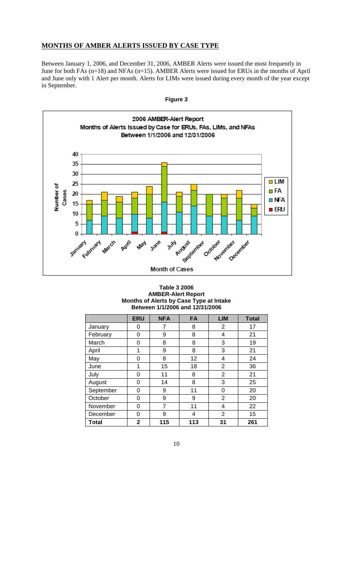# **MONTHS OF AMBER ALERTS ISSUED BY CASE TYPE**

Between January 1, 2006, and December 31, 2006, AMBER Alerts were issued the most frequently in June for both FAs (n=18) and NFAs (n=15). AMBER Alerts were issued for ERUs in the months of April and June only with 1 Alert per month. Alerts for LIMs were issued during every month of the year except in September.



### **Table 3 2006 AMBER-Alert Report Months of Alerts by Case Type at Intake Between 1/1/2006 and 12/31/2006**

|              | <b>ERU</b> | <b>NFA</b> | <b>FA</b> | <b>LIM</b>     | <b>Total</b> |
|--------------|------------|------------|-----------|----------------|--------------|
| January      | 0          | 7          | 8         | 2              | 17           |
| February     | 0          | 9          | 8         | 4              | 21           |
| March        | 0          | 8          | 8         | 3              | 19           |
| April        | 1          | 9          | 8         | 3              | 21           |
| May          | 0          | 8          | 12        | 4              | 24           |
| June         | 1          | 15         | 18        | 2              | 36           |
| July         | 0          | 11         | 8         | $\overline{2}$ | 21           |
| August       | 0          | 14         | 8         | 3              | 25           |
| September    | 0          | 9          | 11        | 0              | 20           |
| October      | 0          | 9          | 9         | $\overline{2}$ | 20           |
| November     | 0          | 7          | 11        | 4              | 22           |
| December     | 0          | 9          | 4         | $\overline{2}$ | 15           |
| <b>Total</b> | 2          | 115        | 113       | 31             | 261          |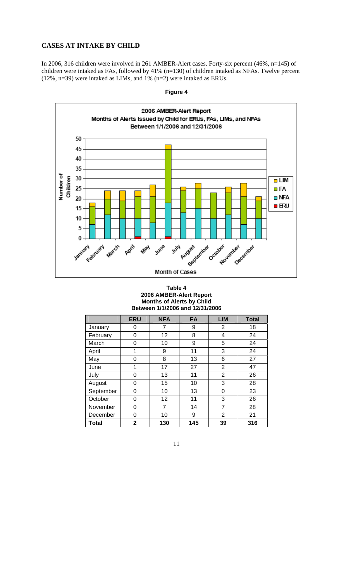# **CASES AT INTAKE BY CHILD**

In 2006, 316 children were involved in 261 AMBER-Alert cases. Forty-six percent (46%, n=145) of children were intaked as FAs, followed by 41% (n=130) of children intaked as NFAs. Twelve percent (12%, n=39) were intaked as LIMs, and 1% (n=2) were intaked as ERUs.



**Figure 4** 

### **Table 4 2006 AMBER-Alert Report Months of Alerts by Child Between 1/1/2006 and 12/31/2006**

|              | <b>ERU</b>  | <b>NFA</b> | FA  | <b>LIM</b>     | <b>Total</b> |
|--------------|-------------|------------|-----|----------------|--------------|
| January      | 0           | 7          | 9   | 2              | 18           |
| February     | 0           | 12         | 8   | 4              | 24           |
| March        | 0           | 10         | 9   | 5              | 24           |
| April        | 1           | 9          | 11  | 3              | 24           |
| May          | 0           | 8          | 13  | 6              | 27           |
| June         | 1           | 17         | 27  | $\overline{2}$ | 47           |
| July         | 0           | 13         | 11  | 2              | 26           |
| August       | 0           | 15         | 10  | 3              | 28           |
| September    | 0           | 10         | 13  | 0              | 23           |
| October      | 0           | 12         | 11  | 3              | 26           |
| November     | 0           | 7          | 14  | 7              | 28           |
| December     | 0           | 10         | 9   | $\overline{2}$ | 21           |
| <b>Total</b> | $\mathbf 2$ | 130        | 145 | 39             | 316          |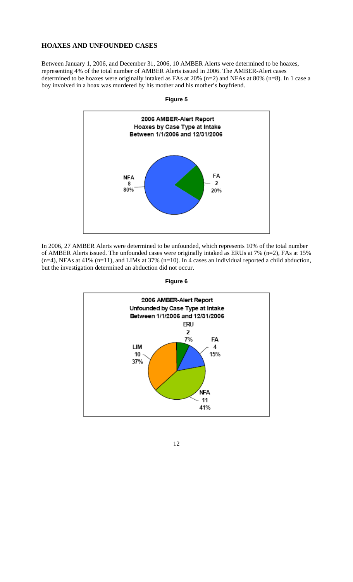# **HOAXES AND UNFOUNDED CASES**

Between January 1, 2006, and December 31, 2006, 10 AMBER Alerts were determined to be hoaxes, representing 4% of the total number of AMBER Alerts issued in 2006. The AMBER-Alert cases determined to be hoaxes were originally intaked as FAs at 20% (n=2) and NFAs at 80% (n=8). In 1 case a boy involved in a hoax was murdered by his mother and his mother's boyfriend.



In 2006, 27 AMBER Alerts were determined to be unfounded, which represents 10% of the total number of AMBER Alerts issued. The unfounded cases were originally intaked as ERUs at 7% (n=2), FAs at 15%  $(n=4)$ , NFAs at 41%  $(n=11)$ , and LIMs at 37%  $(n=10)$ . In 4 cases an individual reported a child abduction, but the investigation determined an abduction did not occur.



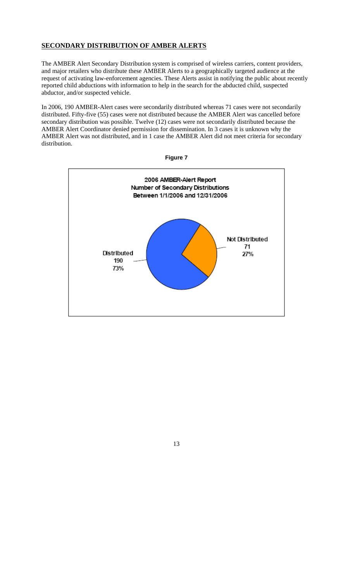# **SECONDARY DISTRIBUTION OF AMBER ALERTS**

The AMBER Alert Secondary Distribution system is comprised of wireless carriers, content providers, and major retailers who distribute these AMBER Alerts to a geographically targeted audience at the request of activating law-enforcement agencies. These Alerts assist in notifying the public about recently reported child abductions with information to help in the search for the abducted child, suspected abductor, and/or suspected vehicle.

In 2006, 190 AMBER-Alert cases were secondarily distributed whereas 71 cases were not secondarily distributed. Fifty-five (55) cases were not distributed because the AMBER Alert was cancelled before secondary distribution was possible. Twelve (12) cases were not secondarily distributed because the AMBER Alert Coordinator denied permission for dissemination. In 3 cases it is unknown why the AMBER Alert was not distributed, and in 1 case the AMBER Alert did not meet criteria for secondary distribution.



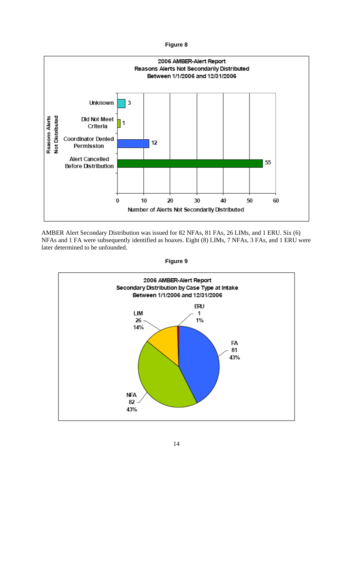

AMBER Alert Secondary Distribution was issued for 82 NFAs, 81 FAs, 26 LIMs, and 1 ERU. Six (6) NFAs and 1 FA were subsequently identified as hoaxes. Eight (8) LIMs, 7 NFAs, 3 FAs, and 1 ERU were later determined to be unfounded.



**Figure 9**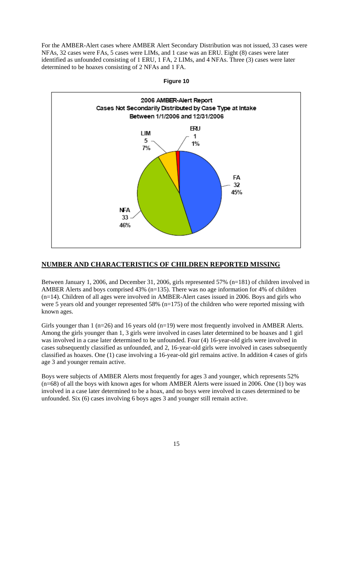For the AMBER-Alert cases where AMBER Alert Secondary Distribution was not issued, 33 cases were NFAs, 32 cases were FAs, 5 cases were LIMs, and 1 case was an ERU. Eight (8) cases were later identified as unfounded consisting of 1 ERU, 1 FA, 2 LIMs, and 4 NFAs. Three (3) cases were later determined to be hoaxes consisting of 2 NFAs and 1 FA.



### **NUMBER AND CHARACTERISTICS OF CHILDREN REPORTED MISSING**

Between January 1, 2006, and December 31, 2006, girls represented 57% (n=181) of children involved in AMBER Alerts and boys comprised 43% (n=135). There was no age information for 4% of children (n=14). Children of all ages were involved in AMBER-Alert cases issued in 2006. Boys and girls who were 5 years old and younger represented 58% (n=175) of the children who were reported missing with known ages.

Girls younger than 1 (n=26) and 16 years old (n=19) were most frequently involved in AMBER Alerts. Among the girls younger than 1, 3 girls were involved in cases later determined to be hoaxes and 1 girl was involved in a case later determined to be unfounded. Four (4) 16-year-old girls were involved in cases subsequently classified as unfounded, and 2, 16-year-old girls were involved in cases subsequently classified as hoaxes. One (1) case involving a 16-year-old girl remains active. In addition 4 cases of girls age 3 and younger remain active.

Boys were subjects of AMBER Alerts most frequently for ages 3 and younger, which represents 52% (n=68) of all the boys with known ages for whom AMBER Alerts were issued in 2006. One (1) boy was involved in a case later determined to be a hoax, and no boys were involved in cases determined to be unfounded. Six (6) cases involving 6 boys ages 3 and younger still remain active.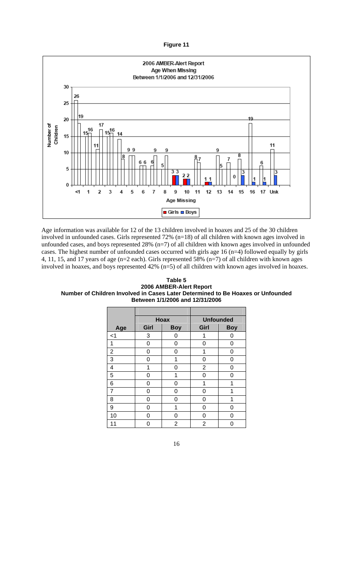

Age information was available for 12 of the 13 children involved in hoaxes and 25 of the 30 children involved in unfounded cases. Girls represented 72% (n=18) of all children with known ages involved in unfounded cases, and boys represented 28% (n=7) of all children with known ages involved in unfounded cases. The highest number of unfounded cases occurred with girls age 16 (n=4) followed equally by girls 4, 11, 15, and 17 years of age (n=2 each). Girls represented 58% (n=7) of all children with known ages involved in hoaxes, and boys represented 42% (n=5) of all children with known ages involved in hoaxes.

**Table 5 2006 AMBER-Alert Report Number of Children Involved in Cases Later Determined to Be Hoaxes or Unfounded Between 1/1/2006 and 12/31/2006** 

|                |      | <b>Hoax</b> | <b>Unfounded</b> |            |  |
|----------------|------|-------------|------------------|------------|--|
| Age            | Girl | <b>Boy</b>  | Girl             | <b>Boy</b> |  |
| $<$ 1          | 3    | 0           | 1                | 0          |  |
| 1              | 0    | 0           | 0                | 0          |  |
| $\overline{2}$ | 0    | 0           | 1                | 0          |  |
| 3              | 0    | 1           | 0                | 0          |  |
| 4              | 1    | 0           | 2                | 0          |  |
| 5              | 0    | 1           | 0                | 0          |  |
| 6              | 0    | U           | 1                | 1          |  |
| $\overline{7}$ | 0    | 0           | ი                |            |  |
| 8              | 0    | ი           | ი                | 1          |  |
| 9              | 0    | 1           | 0                | 0          |  |
| 10             | ი    | U           | ი                | ი          |  |
| 11             | 0    | 2           | 2                | Π          |  |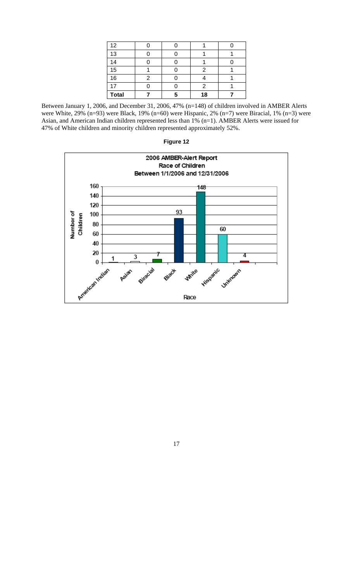| 12           |  |    |  |
|--------------|--|----|--|
| 13           |  |    |  |
| 14           |  |    |  |
| 15           |  | ◠  |  |
| 16           |  |    |  |
| 17           |  |    |  |
| <b>Total</b> |  | 18 |  |

Between January 1, 2006, and December 31, 2006, 47% (n=148) of children involved in AMBER Alerts were White, 29% (n=93) were Black, 19% (n=60) were Hispanic, 2% (n=7) were Biracial, 1% (n=3) were Asian, and American Indian children represented less than 1% (n=1). AMBER Alerts were issued for 47% of White children and minority children represented approximately 52%.



**Figure 12**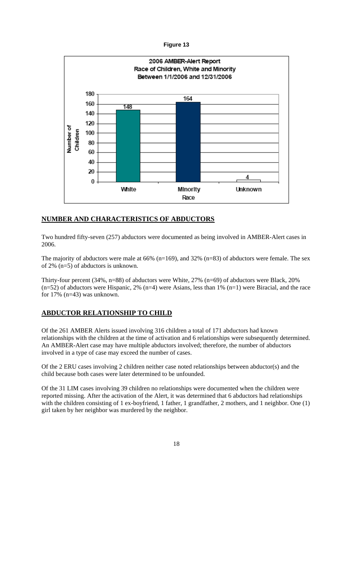

### **NUMBER AND CHARACTERISTICS OF ABDUCTORS**

Two hundred fifty-seven (257) abductors were documented as being involved in AMBER-Alert cases in 2006.

The majority of abductors were male at 66% (n=169), and 32% (n=83) of abductors were female. The sex of 2% (n=5) of abductors is unknown.

Thirty-four percent (34%, n=88) of abductors were White, 27% (n=69) of abductors were Black, 20%  $(n=52)$  of abductors were Hispanic, 2% (n=4) were Asians, less than 1% (n=1) were Biracial, and the race for 17% (n=43) was unknown.

# **ABDUCTOR RELATIONSHIP TO CHILD**

Of the 261 AMBER Alerts issued involving 316 children a total of 171 abductors had known relationships with the children at the time of activation and 6 relationships were subsequently determined. An AMBER-Alert case may have multiple abductors involved; therefore, the number of abductors involved in a type of case may exceed the number of cases.

Of the 2 ERU cases involving 2 children neither case noted relationships between abductor(s) and the child because both cases were later determined to be unfounded.

Of the 31 LIM cases involving 39 children no relationships were documented when the children were reported missing. After the activation of the Alert, it was determined that 6 abductors had relationships with the children consisting of 1 ex-boyfriend, 1 father, 1 grandfather, 2 mothers, and 1 neighbor. One (1) girl taken by her neighbor was murdered by the neighbor.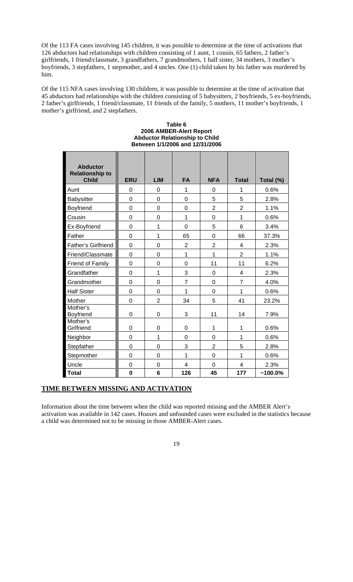Of the 113 FA cases involving 145 children, it was possible to determine at the time of activations that 126 abductors had relationships with children consisting of 1 aunt, 1 cousin, 65 fathers, 2 father's girlfriends, 1 friend/classmate, 3 grandfathers, 7 grandmothers, 1 half sister, 34 mothers, 3 mother's boyfriends, 3 stepfathers, 1 stepmother, and 4 uncles. One (1) child taken by his father was murdered by him.

Of the 115 NFA cases involving 130 children, it was possible to determine at the time of activation that 45 abductors had relationships with the children consisting of 5 babysitters, 2 boyfriends, 5 ex-boyfriends, 2 father's girlfriends, 1 friend/classmate, 11 friends of the family, 5 mothers, 11 mother's boyfriends, 1 mother's girlfriend, and 2 stepfathers.

| <b>Abductor</b><br><b>Relationship to</b><br><b>Child</b> | <b>ERU</b>       | <b>LIM</b>     | <b>FA</b>      | <b>NFA</b>     | <b>Total</b>   | Total (%)  |
|-----------------------------------------------------------|------------------|----------------|----------------|----------------|----------------|------------|
| Aunt                                                      | 0                | 0              | 1              | 0              | 1              | 0.6%       |
| Babysitter                                                | 0                | $\overline{0}$ | 0              | 5              | 5              | 2.8%       |
| Boyfriend                                                 | $\mathbf 0$      | $\overline{0}$ | $\mathbf 0$    | $\overline{2}$ | $\overline{2}$ | 1.1%       |
| Cousin                                                    | $\overline{0}$   | $\mathbf 0$    | 1              | 0              | 1              | 0.6%       |
| Ex-Boyfriend                                              | $\overline{0}$   | 1              | $\overline{0}$ | 5              | 6              | 3.4%       |
| Father                                                    | $\overline{0}$   | 1              | 65             | 0              | 66             | 37.3%      |
| Father's Girlfriend                                       | $\overline{0}$   | $\overline{0}$ | $\overline{2}$ | $\overline{2}$ | 4              | 2.3%       |
| Friend/Classmate                                          | $\overline{0}$   | $\overline{0}$ | 1              | $\mathbf{1}$   | $\overline{2}$ | 1.1%       |
| Friend of Family                                          | $\overline{0}$   | $\overline{0}$ | $\overline{0}$ | 11             | 11             | 6.2%       |
| Grandfather                                               | $\overline{0}$   | 1              | 3              | 0              | $\overline{4}$ | 2.3%       |
| Grandmother                                               | $\overline{0}$   | $\overline{0}$ | $\overline{7}$ | $\overline{0}$ | $\overline{7}$ | 4.0%       |
| <b>Half Sister</b>                                        | $\overline{0}$   | $\overline{0}$ | 1              | $\overline{0}$ | 1              | 0.6%       |
| Mother                                                    | $\mathbf 0$      | $\overline{2}$ | 34             | 5              | 41             | 23.2%      |
| Mother's<br>Boyfriend                                     | $\boldsymbol{0}$ | 0              | 3              | 11             | 14             | 7.9%       |
| Mother's<br>Girlfriend                                    | $\mathbf 0$      | $\mathbf 0$    | $\mathbf 0$    | 1              | $\mathbf{1}$   | 0.6%       |
| Neighbor                                                  | $\overline{0}$   | 1              | $\mathbf 0$    | $\overline{0}$ | 1              | 0.6%       |
| Stepfather                                                | $\overline{0}$   | $\overline{0}$ | 3              | $\overline{2}$ | 5              | 2.8%       |
| Stepmother                                                | $\overline{0}$   | $\overline{0}$ | 1              | 0              | 1              | 0.6%       |
| Uncle                                                     | $\overline{0}$   | $\mathbf 0$    | $\overline{4}$ | $\overline{0}$ | $\overline{4}$ | 2.3%       |
| <b>Total</b>                                              | $\mathbf 0$      | 6              | 126            | 45             | 177            | $~100.0\%$ |

#### **Table 6 2006 AMBER-Alert Report Abductor Relationship to Child Between 1/1/2006 and 12/31/2006**

# **TIME BETWEEN MISSING AND ACTIVATION**

Information about the time between when the child was reported missing and the AMBER Alert's activation was available in 142 cases. Hoaxes and unfounded cases were excluded in the statistics because a child was determined not to be missing in those AMBER-Alert cases.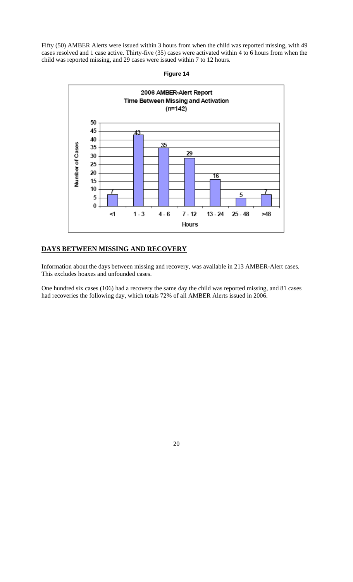Fifty (50) AMBER Alerts were issued within 3 hours from when the child was reported missing, with 49 cases resolved and 1 case active. Thirty-five (35) cases were activated within 4 to 6 hours from when the child was reported missing, and 29 cases were issued within 7 to 12 hours.





# **DAYS BETWEEN MISSING AND RECOVERY**

Information about the days between missing and recovery, was available in 213 AMBER-Alert cases. This excludes hoaxes and unfounded cases.

One hundred six cases (106) had a recovery the same day the child was reported missing, and 81 cases had recoveries the following day, which totals 72% of all AMBER Alerts issued in 2006.

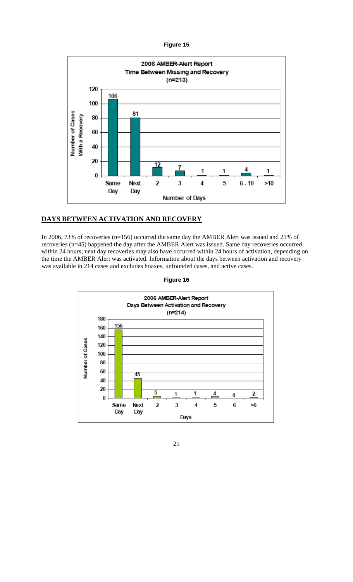

### **DAYS BETWEEN ACTIVATION AND RECOVERY**

In 2006, 73% of recoveries (n=156) occurred the same day the AMBER Alert was issued and 21% of recoveries (n=45) happened the day after the AMBER Alert was issued. Same day recoveries occurred within 24 hours; next day recoveries may also have occurred within 24 hours of activation, depending on the time the AMBER Alert was activated. Information about the days between activation and recovery was available in 214 cases and excludes hoaxes, unfounded cases, and active cases.

**Figure 16** 



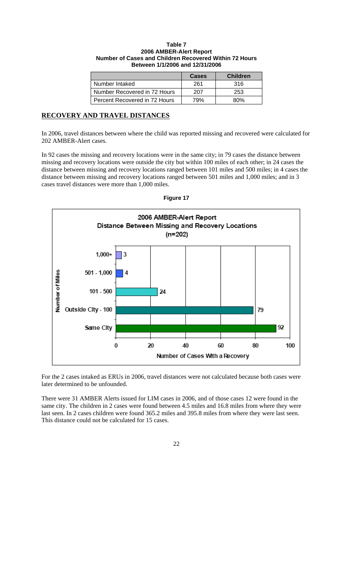### **Table 7 2006 AMBER-Alert Report Number of Cases and Children Recovered Within 72 Hours Between 1/1/2006 and 12/31/2006**

|                               | Cases | <b>Children</b> |
|-------------------------------|-------|-----------------|
| Number Intaked                | 261   | 316             |
| Number Recovered in 72 Hours  | 207   | 253             |
| Percent Recovered in 72 Hours | 79%   | 80%             |

# **RECOVERY AND TRAVEL DISTANCES**

In 2006, travel distances between where the child was reported missing and recovered were calculated for 202 AMBER-Alert cases.

In 92 cases the missing and recovery locations were in the same city; in 79 cases the distance between missing and recovery locations were outside the city but within 100 miles of each other; in 24 cases the distance between missing and recovery locations ranged between 101 miles and 500 miles; in 4 cases the distance between missing and recovery locations ranged between 501 miles and 1,000 miles; and in 3 cases travel distances were more than 1,000 miles.



**Figure 17** 

For the 2 cases intaked as ERUs in 2006, travel distances were not calculated because both cases were later determined to be unfounded.

There were 31 AMBER Alerts issued for LIM cases in 2006, and of those cases 12 were found in the same city. The children in 2 cases were found between 4.5 miles and 16.8 miles from where they were last seen. In 2 cases children were found 365.2 miles and 395.8 miles from where they were last seen. This distance could not be calculated for 15 cases.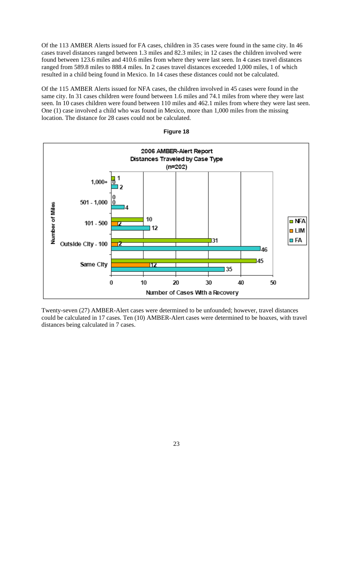Of the 113 AMBER Alerts issued for FA cases, children in 35 cases were found in the same city. In 46 cases travel distances ranged between 1.3 miles and 82.3 miles; in 12 cases the children involved were found between 123.6 miles and 410.6 miles from where they were last seen. In 4 cases travel distances ranged from 589.8 miles to 888.4 miles. In 2 cases travel distances exceeded 1,000 miles, 1 of which resulted in a child being found in Mexico. In 14 cases these distances could not be calculated.

Of the 115 AMBER Alerts issued for NFA cases, the children involved in 45 cases were found in the same city. In 31 cases children were found between 1.6 miles and 74.1 miles from where they were last seen. In 10 cases children were found between 110 miles and 462.1 miles from where they were last seen. One (1) case involved a child who was found in Mexico, more than 1,000 miles from the missing location. The distance for 28 cases could not be calculated.



**Figure 18** 

Twenty-seven (27) AMBER-Alert cases were determined to be unfounded; however, travel distances could be calculated in 17 cases. Ten (10) AMBER-Alert cases were determined to be hoaxes, with travel distances being calculated in 7 cases.

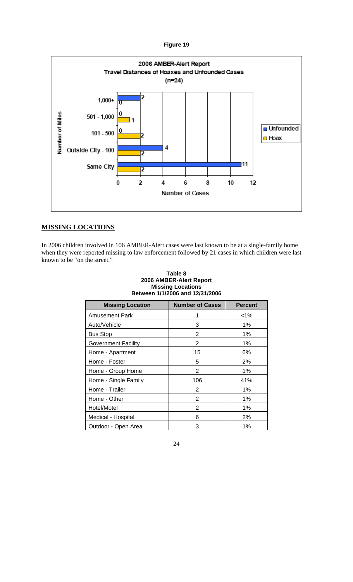

# **MISSING LOCATIONS**

In 2006 children involved in 106 AMBER-Alert cases were last known to be at a single-family home when they were reported missing to law enforcement followed by 21 cases in which children were last known to be "on the street."

| Between 1/1/2006 and 12/31/2006 |                        |                |  |  |
|---------------------------------|------------------------|----------------|--|--|
| <b>Missing Location</b>         | <b>Number of Cases</b> | <b>Percent</b> |  |  |
| <b>Amusement Park</b>           |                        | <1%            |  |  |
| Auto/Vehicle                    | 3                      | 1%             |  |  |
| <b>Bus Stop</b>                 | 2                      | $1\%$          |  |  |
| <b>Government Facility</b>      | 2                      | $1\%$          |  |  |
| Home - Apartment                | 15                     | 6%             |  |  |
| Home - Foster                   | 5                      | 2%             |  |  |
| Home - Group Home               | 2                      | $1\%$          |  |  |
| Home - Single Family            | 106                    | 41%            |  |  |
| Home - Trailer                  | $\overline{2}$         | $1\%$          |  |  |
| Home - Other                    | 2                      | $1\%$          |  |  |
| Hotel/Motel                     | 2                      | $1\%$          |  |  |
| Medical - Hospital              | 6                      | 2%             |  |  |
| Outdoor - Open Area             | 3                      | 1%             |  |  |

### **Table 8 2006 AMBER-Alert Report Missing Locations Between 1/1/2006 and 12/31/2006**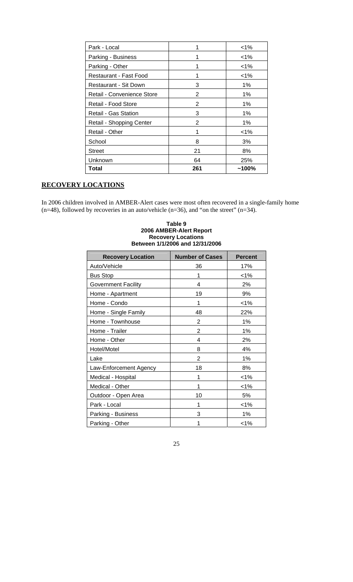| Park - Local                 |     | $1\%$    |
|------------------------------|-----|----------|
| Parking - Business           |     | $< 1\%$  |
| Parking - Other              |     | $< 1\%$  |
| Restaurant - Fast Food       |     | $1\%$    |
| <b>Restaurant - Sit Down</b> | 3   | 1%       |
| Retail - Convenience Store   | 2   | 1%       |
| Retail - Food Store          | 2   | $1\%$    |
| Retail - Gas Station         | 3   | 1%       |
| Retail - Shopping Center     | 2   | 1%       |
| Retail - Other               |     | $< 1\%$  |
| School                       | 8   | 3%       |
| <b>Street</b>                | 21  | 8%       |
| Unknown                      | 64  | 25%      |
| Total                        | 261 | $~100\%$ |

# **RECOVERY LOCATIONS**

In 2006 children involved in AMBER-Alert cases were most often recovered in a single-family home  $(n=48)$ , followed by recoveries in an auto/vehicle  $(n=36)$ , and "on the street"  $(n=34)$ .

| Between 1/1/2006 and 12/31/2006 |                        |                |  |  |
|---------------------------------|------------------------|----------------|--|--|
| <b>Recovery Location</b>        | <b>Number of Cases</b> | <b>Percent</b> |  |  |
| Auto/Vehicle                    | 36                     | 17%            |  |  |
| <b>Bus Stop</b>                 | 1                      | $< 1\%$        |  |  |
| <b>Government Facility</b>      | 4                      | 2%             |  |  |
| Home - Apartment                | 19                     | 9%             |  |  |
| Home - Condo                    | 1                      | $< 1\%$        |  |  |
| Home - Single Family            | 48                     | 22%            |  |  |
| Home - Townhouse                | $\overline{2}$         | 1%             |  |  |
| Home - Trailer                  | $\overline{2}$         | 1%             |  |  |
| Home - Other                    | 4                      | 2%             |  |  |
| Hotel/Motel                     | 8                      | 4%             |  |  |
| Lake                            | $\overline{2}$         | 1%             |  |  |
| Law-Enforcement Agency          | 18                     | 8%             |  |  |
| Medical - Hospital              | 1                      | $1\%$          |  |  |
| Medical - Other                 | 1                      | $< 1\%$        |  |  |
| Outdoor - Open Area             | 10                     | 5%             |  |  |
| Park - Local                    | 1                      | $< 1\%$        |  |  |
| Parking - Business              | 3                      | 1%             |  |  |
| Parking - Other                 | 1                      | $< 1\%$        |  |  |

# **Table 9 2006 AMBER-Alert Report Recovery Locations**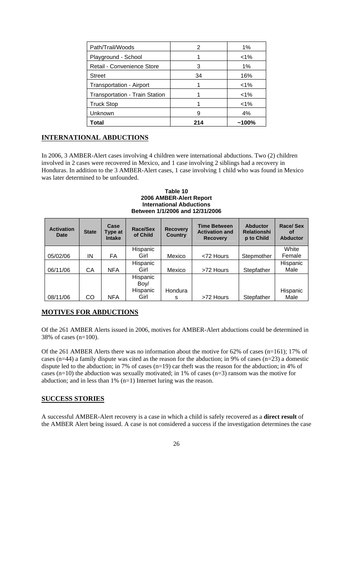| Path/Trail/Woods                      | 2   | 1%      |
|---------------------------------------|-----|---------|
| Playground - School                   |     | $1\%$   |
| Retail - Convenience Store            | 3   | $1\%$   |
| <b>Street</b>                         | 34  | 16%     |
| Transportation - Airport              |     | $< 1\%$ |
| <b>Transportation - Train Station</b> |     | $< 1\%$ |
| <b>Truck Stop</b>                     |     | $< 1\%$ |
| Unknown                               | 9   | 4%      |
| Total                                 | 214 | ~100%   |

# **INTERNATIONAL ABDUCTIONS**

In 2006, 3 AMBER-Alert cases involving 4 children were international abductions. Two (2) children involved in 2 cases were recovered in Mexico, and 1 case involving 2 siblings had a recovery in Honduras. In addition to the 3 AMBER-Alert cases, 1 case involving 1 child who was found in Mexico was later determined to be unfounded.

**Table 10 2006 AMBER-Alert Report International Abductions Between 1/1/2006 and 12/31/2006** 

| <b>Activation</b><br><b>Date</b> | <b>State</b> | Case<br>Type at<br><b>Intake</b> | Race/Sex<br>of Child | <b>Recovery</b><br><b>Country</b> | <b>Time Between</b><br><b>Activation and</b><br><b>Recovery</b> | <b>Abductor</b><br><b>Relationshi</b><br>p to Child | <b>Race/Sex</b><br>οf<br><b>Abductor</b> |
|----------------------------------|--------------|----------------------------------|----------------------|-----------------------------------|-----------------------------------------------------------------|-----------------------------------------------------|------------------------------------------|
|                                  |              |                                  | Hispanic             |                                   |                                                                 |                                                     | White                                    |
| 05/02/06                         | ΙN           | FA                               | Girl                 | Mexico                            | <72 Hours                                                       | Stepmother                                          | Female                                   |
|                                  |              |                                  | Hispanic             |                                   |                                                                 |                                                     | Hispanic                                 |
| 06/11/06                         | СA           | <b>NFA</b>                       | Girl                 | Mexico                            | >72 Hours                                                       | Stepfather                                          | Male                                     |
|                                  |              |                                  | Hispanic             |                                   |                                                                 |                                                     |                                          |
|                                  |              |                                  | Boy/                 |                                   |                                                                 |                                                     |                                          |
|                                  |              |                                  | Hispanic             | Hondura                           |                                                                 |                                                     | Hispanic                                 |
| 08/11/06                         | CO           | <b>NFA</b>                       | Girl                 | s                                 | >72 Hours                                                       | Stepfather                                          | Male                                     |

# **MOTIVES FOR ABDUCTIONS**

Of the 261 AMBER Alerts issued in 2006, motives for AMBER-Alert abductions could be determined in 38% of cases (n=100).

Of the 261 AMBER Alerts there was no information about the motive for 62% of cases (n=161); 17% of cases (n=44) a family dispute was cited as the reason for the abduction; in 9% of cases (n=23) a domestic dispute led to the abduction; in 7% of cases (n=19) car theft was the reason for the abduction; in 4% of cases (n=10) the abduction was sexually motivated; in 1% of cases (n=3) ransom was the motive for abduction; and in less than 1% (n=1) Internet luring was the reason.

# **SUCCESS STORIES**

A successful AMBER-Alert recovery is a case in which a child is safely recovered as a **direct result** of the AMBER Alert being issued. A case is not considered a success if the investigation determines the case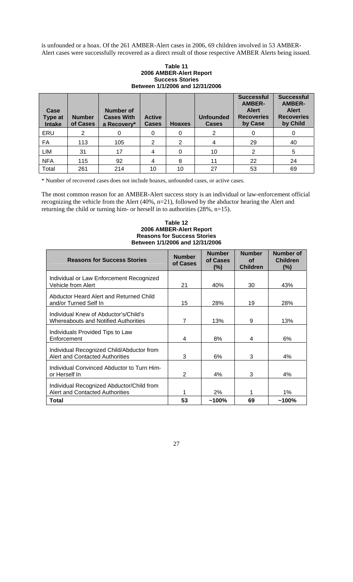is unfounded or a hoax. Of the 261 AMBER-Alert cases in 2006, 69 children involved in 53 AMBER-Alert cases were successfully recovered as a direct result of those respective AMBER Alerts being issued.

### **Table 11 2006 AMBER-Alert Report Success Stories Between 1/1/2006 and 12/31/2006**

| Case<br><b>Type at</b><br><b>Intake</b> | <b>Number</b><br>of Cases | <b>Number of</b><br><b>Cases With</b><br>a Recovery* | <b>Active</b><br><b>Cases</b> | <b>Hoaxes</b> | <b>Unfounded</b><br><b>Cases</b> | <b>Successful</b><br><b>AMBER-</b><br><b>Alert</b><br><b>Recoveries</b><br>by Case | <b>Successful</b><br><b>AMBER-</b><br><b>Alert</b><br><b>Recoveries</b><br>by Child |
|-----------------------------------------|---------------------------|------------------------------------------------------|-------------------------------|---------------|----------------------------------|------------------------------------------------------------------------------------|-------------------------------------------------------------------------------------|
| ERU                                     | 2                         |                                                      | 0                             | 0             | 2                                |                                                                                    |                                                                                     |
| FA                                      | 113                       | 105                                                  | 2                             | 2             |                                  | 29                                                                                 | 40                                                                                  |
| <b>LIM</b>                              | 31                        | 17                                                   | $\overline{4}$                | 0             | 10                               | 2                                                                                  | 5                                                                                   |
| <b>NFA</b>                              | 115                       | 92                                                   | 4                             | 8             | 11                               | 22                                                                                 | 24                                                                                  |
| Total                                   | 261                       | 214                                                  | 10                            | 10            | 27                               | 53                                                                                 | 69                                                                                  |

\* Number of recovered cases does not include hoaxes, unfounded cases, or active cases.

The most common reason for an AMBER-Alert success story is an individual or law-enforcement official recognizing the vehicle from the Alert (40%, n=21), followed by the abductor hearing the Alert and returning the child or turning him- or herself in to authorities (28%, n=15).

### **Table 12 2006 AMBER-Alert Report Reasons for Success Stories Between 1/1/2006 and 12/31/2006**

| <b>Reasons for Success Stories</b>                                                   | <b>Number</b><br>of Cases | <b>Number</b><br>of Cases<br>(%) | <b>Number</b><br><b>of</b><br><b>Children</b> | <b>Number of</b><br><b>Children</b><br>$(\%)$ |
|--------------------------------------------------------------------------------------|---------------------------|----------------------------------|-----------------------------------------------|-----------------------------------------------|
| Individual or Law Enforcement Recognized<br>Vehicle from Alert                       | 21                        | 40%                              | 30                                            | 43%                                           |
| Abductor Heard Alert and Returned Child<br>and/or Turned Self In                     | 15                        | 28%                              | 19                                            | 28%                                           |
| Individual Knew of Abductor's/Child's<br><b>Whereabouts and Notified Authorities</b> | 7                         | 13%                              | 9                                             | 13%                                           |
| Individuals Provided Tips to Law<br>Enforcement                                      | 4                         | 8%                               | 4                                             | 6%                                            |
| Individual Recognized Child/Abductor from<br><b>Alert and Contacted Authorities</b>  | 3                         | 6%                               | 3                                             | 4%                                            |
| Individual Convinced Abductor to Turn Him-<br>or Herself In                          | $\overline{2}$            | 4%                               | 3                                             | 4%                                            |
| Individual Recognized Abductor/Child from<br><b>Alert and Contacted Authorities</b>  | 1                         | 2%                               |                                               | $1\%$                                         |
| Total                                                                                | 53                        | $~100\%$                         | 69                                            | $~100\%$                                      |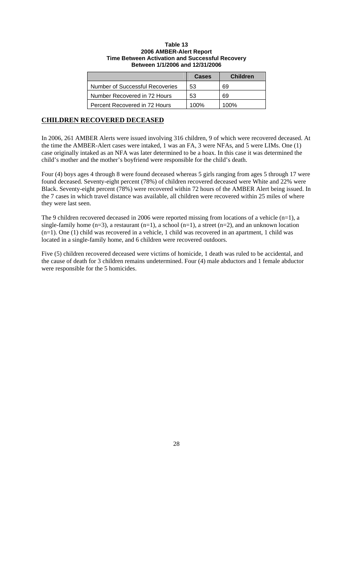### **Table 13 2006 AMBER-Alert Report Time Between Activation and Successful Recovery Between 1/1/2006 and 12/31/2006**

|                                        | Cases | <b>Children</b> |
|----------------------------------------|-------|-----------------|
| <b>Number of Successful Recoveries</b> | 53    | 69              |
| Number Recovered in 72 Hours           | 53    | 69              |
| Percent Recovered in 72 Hours          | 100%  | 100%            |

### **CHILDREN RECOVERED DECEASED**

In 2006, 261 AMBER Alerts were issued involving 316 children, 9 of which were recovered deceased. At the time the AMBER-Alert cases were intaked, 1 was an FA, 3 were NFAs, and 5 were LIMs. One (1) case originally intaked as an NFA was later determined to be a hoax. In this case it was determined the child's mother and the mother's boyfriend were responsible for the child's death.

Four (4) boys ages 4 through 8 were found deceased whereas 5 girls ranging from ages 5 through 17 were found deceased. Seventy-eight percent (78%) of children recovered deceased were White and 22% were Black. Seventy-eight percent (78%) were recovered within 72 hours of the AMBER Alert being issued. In the 7 cases in which travel distance was available, all children were recovered within 25 miles of where they were last seen.

The 9 children recovered deceased in 2006 were reported missing from locations of a vehicle  $(n=1)$ , a single-family home  $(n=3)$ , a restaurant  $(n=1)$ , a school  $(n=1)$ , a street  $(n=2)$ , and an unknown location (n=1). One (1) child was recovered in a vehicle, 1 child was recovered in an apartment, 1 child was located in a single-family home, and 6 children were recovered outdoors.

Five (5) children recovered deceased were victims of homicide, 1 death was ruled to be accidental, and the cause of death for 3 children remains undetermined. Four (4) male abductors and 1 female abductor were responsible for the 5 homicides.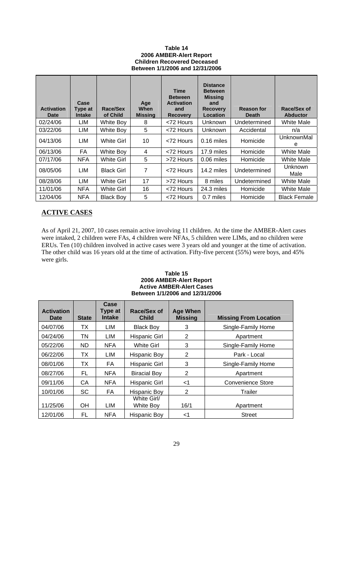### **Table 14 2006 AMBER-Alert Report Children Recovered Deceased Between 1/1/2006 and 12/31/2006**

| <b>Activation</b><br><b>Date</b> | Case<br>Type at<br><b>Intake</b> | Race/Sex<br>of Child | Age<br>When<br><b>Missing</b> | <b>Time</b><br><b>Between</b><br><b>Activation</b><br>and<br><b>Recovery</b> | <b>Distance</b><br><b>Between</b><br><b>Missing</b><br>and<br><b>Recovery</b><br>Location | <b>Reason for</b><br><b>Death</b> | Race/Sex of<br><b>Abductor</b> |
|----------------------------------|----------------------------------|----------------------|-------------------------------|------------------------------------------------------------------------------|-------------------------------------------------------------------------------------------|-----------------------------------|--------------------------------|
| 02/24/06                         | LIM                              | White Boy            | 8                             | <72 Hours                                                                    | <b>Unknown</b>                                                                            | Undetermined                      | <b>White Male</b>              |
| 03/22/06                         | LIM                              | White Boy            | 5                             | <72 Hours                                                                    | <b>Unknown</b>                                                                            | Accidental                        | n/a                            |
| 04/13/06                         | LIM                              | White Girl           | 10                            | <72 Hours                                                                    | $0.16$ miles                                                                              | Homicide                          | UnknownMal<br>е                |
| 06/13/06                         | FA                               | White Boy            | 4                             | <72 Hours                                                                    | 17.9 miles                                                                                | Homicide                          | White Male                     |
| 07/17/06                         | <b>NFA</b>                       | White Girl           | 5                             | >72 Hours                                                                    | 0.06 miles                                                                                | Homicide                          | <b>White Male</b>              |
| 08/05/06                         | LIM                              | <b>Black Girl</b>    | 7                             | <72 Hours                                                                    | 14.2 miles                                                                                | Undetermined                      | Unknown<br>Male                |
| 08/28/06                         | LIM                              | White Girl           | 17                            | >72 Hours                                                                    | 8 miles                                                                                   | Undetermined                      | White Male                     |
| 11/01/06                         | <b>NFA</b>                       | White Girl           | 16                            | <72 Hours                                                                    | 24.3 miles                                                                                | Homicide                          | <b>White Male</b>              |
| 12/04/06                         | <b>NFA</b>                       | <b>Black Boy</b>     | 5                             | <72 Hours                                                                    | 0.7 miles                                                                                 | Homicide                          | <b>Black Female</b>            |

# **ACTIVE CASES**

As of April 21, 2007, 10 cases remain active involving 11 children. At the time the AMBER-Alert cases were intaked, 2 children were FAs, 4 children were NFAs, 5 children were LIMs, and no children were ERUs. Ten (10) children involved in active cases were 3 years old and younger at the time of activation. The other child was 16 years old at the time of activation. Fifty-five percent (55%) were boys, and 45% were girls.

### **Table 15 2006 AMBER-Alert Report Active AMBER-Alert Cases Between 1/1/2006 and 12/31/2006**

| <b>Activation</b><br>Date | <b>State</b> | Case<br>Type at<br><b>Intake</b> | Race/Sex of<br><b>Child</b> | <b>Age When</b><br><b>Missing</b> | <b>Missing From Location</b> |
|---------------------------|--------------|----------------------------------|-----------------------------|-----------------------------------|------------------------------|
| 04/07/06                  | ТX           | LIM                              | <b>Black Boy</b>            | 3                                 | Single-Family Home           |
| 04/24/06                  | TN           | LIM                              | <b>Hispanic Girl</b>        | 2                                 | Apartment                    |
| 05/22/06                  | <b>ND</b>    | NFA.                             | <b>White Girl</b>           | 3                                 | Single-Family Home           |
| 06/22/06                  | ТX           | LIM                              | Hispanic Boy                | 2                                 | Park - Local                 |
| 08/01/06                  | ТX           | FA                               | <b>Hispanic Girl</b>        | 3                                 | Single-Family Home           |
| 08/27/06                  | FL           | <b>NFA</b>                       | <b>Biracial Boy</b>         | 2                                 | Apartment                    |
| 09/11/06                  | CA           | <b>NFA</b>                       | Hispanic Girl               | $<$ 1                             | Convenience Store            |
| 10/01/06                  | <b>SC</b>    | FA                               | Hispanic Boy                | 2                                 | Trailer                      |
| 11/25/06                  | <b>OH</b>    | LIM                              | White Girl/<br>White Boy    | 16/1                              | Apartment                    |
| 12/01/06                  | FL           | <b>NFA</b>                       | Hispanic Boy                | -1                                | <b>Street</b>                |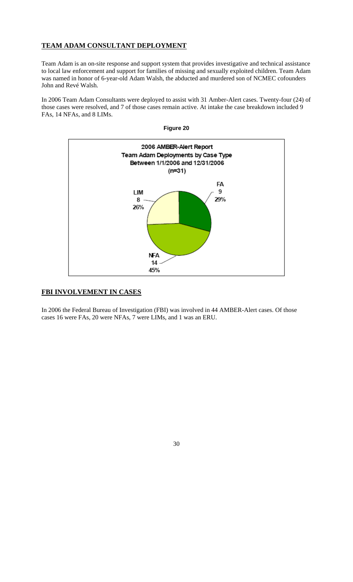# **TEAM ADAM CONSULTANT DEPLOYMENT**

Team Adam is an on-site response and support system that provides investigative and technical assistance to local law enforcement and support for families of missing and sexually exploited children. Team Adam was named in honor of 6-year-old Adam Walsh, the abducted and murdered son of NCMEC cofounders John and Revé Walsh.

In 2006 Team Adam Consultants were deployed to assist with 31 Amber-Alert cases. Twenty-four (24) of those cases were resolved, and 7 of those cases remain active. At intake the case breakdown included 9 FAs, 14 NFAs, and 8 LIMs.



**FBI INVOLVEMENT IN CASES**

In 2006 the Federal Bureau of Investigation (FBI) was involved in 44 AMBER-Alert cases. Of those cases 16 were FAs, 20 were NFAs, 7 were LIMs, and 1 was an ERU.

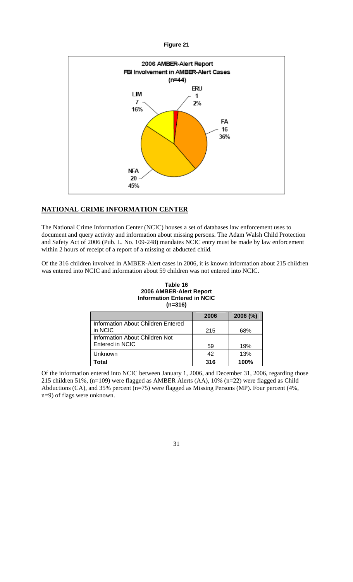

# **NATIONAL CRIME INFORMATION CENTER**

The National Crime Information Center (NCIC) houses a set of databases law enforcement uses to document and query activity and information about missing persons. The Adam Walsh Child Protection and Safety Act of 2006 (Pub. L. No. 109-248) mandates NCIC entry must be made by law enforcement within 2 hours of receipt of a report of a missing or abducted child.

Of the 316 children involved in AMBER-Alert cases in 2006, it is known information about 215 children was entered into NCIC and information about 59 children was not entered into NCIC.

| Table 16                           |
|------------------------------------|
| 2006 AMBER-Alert Report            |
| <b>Information Entered in NCIC</b> |
| $(n=316)$                          |

|                                    | 2006 | $2006$ (%) |
|------------------------------------|------|------------|
| Information About Children Entered |      |            |
| in NCIC                            | 215  | 68%        |
| Information About Children Not     |      |            |
| Entered in NCIC                    | 59   | 19%        |
| Unknown                            | 42   | 13%        |
| Total                              | 316  | 100%       |

Of the information entered into NCIC between January 1, 2006, and December 31, 2006, regarding those 215 children 51%, (n=109) were flagged as AMBER Alerts (AA), 10% (n=22) were flagged as Child Abductions (CA), and 35% percent (n=75) were flagged as Missing Persons (MP). Four percent (4%, n=9) of flags were unknown.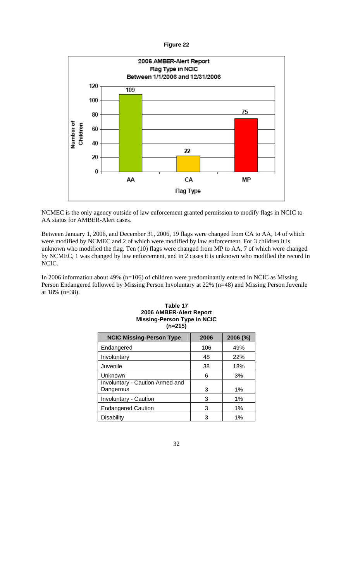

NCMEC is the only agency outside of law enforcement granted permission to modify flags in NCIC to AA status for AMBER-Alert cases.

Between January 1, 2006, and December 31, 2006, 19 flags were changed from CA to AA, 14 of which were modified by NCMEC and 2 of which were modified by law enforcement. For 3 children it is unknown who modified the flag. Ten (10) flags were changed from MP to AA, 7 of which were changed by NCMEC, 1 was changed by law enforcement, and in 2 cases it is unknown who modified the record in NCIC.

In 2006 information about 49% (n=106) of children were predominantly entered in NCIC as Missing Person Endangered followed by Missing Person Involuntary at 22% (n=48) and Missing Person Juvenile at 18% (n=38).

| <b>NCIC Missing-Person Type</b> | 2006 | 2006 (%) |
|---------------------------------|------|----------|
| Endangered                      | 106  | 49%      |
| Involuntary                     | 48   | 22%      |
| Juvenile                        | 38   | 18%      |
| Unknown                         | 6    | 3%       |
| Involuntary - Caution Armed and |      |          |
| Dangerous                       | 3    | $1\%$    |
| <b>Involuntary - Caution</b>    | 3    | 1%       |
| <b>Endangered Caution</b>       | 3    | 1%       |
| Disability                      |      | $1\%$    |

### **Table 17 2006 AMBER-Alert Report Missing-Person Type in NCIC (n=215)**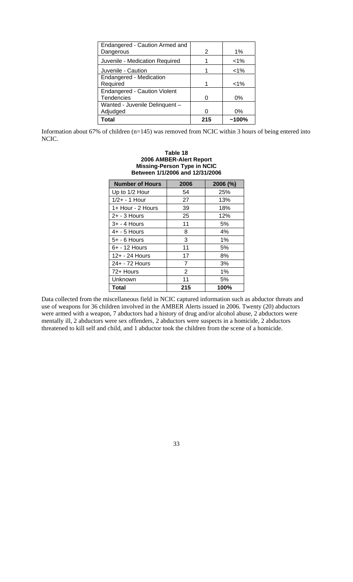| Endangered - Caution Armed and      |     |          |
|-------------------------------------|-----|----------|
| Dangerous                           | 2   | 1%       |
| Juvenile - Medication Required      |     | $1\%$    |
| Juvenile - Caution                  |     | $< 1\%$  |
| Endangered - Medication             |     |          |
| Required                            |     | $< 1\%$  |
| <b>Endangered - Caution Violent</b> |     |          |
| Tendencies                          |     | $0\%$    |
| Wanted - Juvenile Delinquent -      |     |          |
| Adjudged                            |     | 0%       |
| <b>Total</b>                        | 215 | $~100\%$ |

Information about 67% of children (n=145) was removed from NCIC within 3 hours of being entered into NCIC.

| Between 1/1/2006 and 12/31/2006 |                |          |  |  |  |
|---------------------------------|----------------|----------|--|--|--|
| <b>Number of Hours</b>          | 2006           | 2006 (%) |  |  |  |
| Up to 1/2 Hour                  | 54             | 25%      |  |  |  |
| $1/2 + - 1$ Hour                | 27             | 13%      |  |  |  |
| 1+ Hour - 2 Hours               | 39             | 18%      |  |  |  |
| $2+ - 3$ Hours                  | 25             | 12%      |  |  |  |
| 3+ - 4 Hours                    | 11             | 5%       |  |  |  |
| $4+ - 5$ Hours                  | 8              | 4%       |  |  |  |
| $5+ - 6$ Hours                  | 3              | 1%       |  |  |  |
| 6+ - 12 Hours                   | 11             | 5%       |  |  |  |
| 12+ - 24 Hours                  | 17             | 8%       |  |  |  |
| 24+ - 72 Hours                  | $\overline{7}$ | 3%       |  |  |  |
| 72+ Hours                       | $\overline{2}$ | 1%       |  |  |  |
| Unknown                         | 11             | 5%       |  |  |  |
| Total                           | 215            | 100%     |  |  |  |

**Table 18 2006 AMBER-Alert Report Missing-Person Type in NCIC** 

Data collected from the miscellaneous field in NCIC captured information such as abductor threats and use of weapons for 36 children involved in the AMBER Alerts issued in 2006. Twenty (20) abductors were armed with a weapon, 7 abductors had a history of drug and/or alcohol abuse, 2 abductors were mentally ill, 2 abductors were sex offenders, 2 abductors were suspects in a homicide, 2 abductors threatened to kill self and child, and 1 abductor took the children from the scene of a homicide.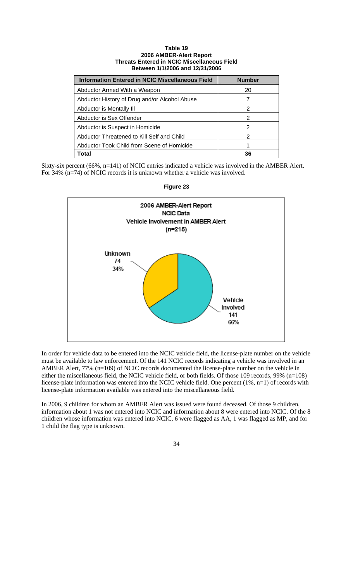#### **Table 19 2006 AMBER-Alert Report Threats Entered in NCIC Miscellaneous Field Between 1/1/2006 and 12/31/2006**

| <b>Information Entered in NCIC Miscellaneous Field</b> | <b>Number</b> |
|--------------------------------------------------------|---------------|
| Abductor Armed With a Weapon                           | 20            |
| Abductor History of Drug and/or Alcohol Abuse          |               |
| Abductor is Mentally III                               | 2             |
| Abductor is Sex Offender                               | 2             |
| Abductor is Suspect in Homicide                        | 2             |
| Abductor Threatened to Kill Self and Child             | 2             |
| Abductor Took Child from Scene of Homicide             |               |
| Total                                                  | 36            |

Sixty-six percent (66%, n=141) of NCIC entries indicated a vehicle was involved in the AMBER Alert. For 34% (n=74) of NCIC records it is unknown whether a vehicle was involved.



**Figure 23** 

In order for vehicle data to be entered into the NCIC vehicle field, the license-plate number on the vehicle must be available to law enforcement. Of the 141 NCIC records indicating a vehicle was involved in an AMBER Alert, 77% (n=109) of NCIC records documented the license-plate number on the vehicle in either the miscellaneous field, the NCIC vehicle field, or both fields. Of those 109 records, 99% (n=108) license-plate information was entered into the NCIC vehicle field. One percent (1%, n=1) of records with license-plate information available was entered into the miscellaneous field.

In 2006, 9 children for whom an AMBER Alert was issued were found deceased. Of those 9 children, information about 1 was not entered into NCIC and information about 8 were entered into NCIC. Of the 8 children whose information was entered into NCIC, 6 were flagged as AA, 1 was flagged as MP, and for 1 child the flag type is unknown.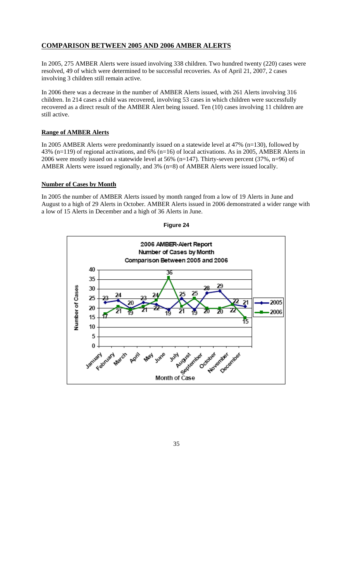# **COMPARISON BETWEEN 2005 AND 2006 AMBER ALERTS**

In 2005, 275 AMBER Alerts were issued involving 338 children. Two hundred twenty (220) cases were resolved, 49 of which were determined to be successful recoveries. As of April 21, 2007, 2 cases involving 3 children still remain active.

In 2006 there was a decrease in the number of AMBER Alerts issued, with 261 Alerts involving 316 children. In 214 cases a child was recovered, involving 53 cases in which children were successfully recovered as a direct result of the AMBER Alert being issued. Ten (10) cases involving 11 children are still active.

# **Range of AMBER Alerts**

In 2005 AMBER Alerts were predominantly issued on a statewide level at 47% (n=130), followed by 43% (n=119) of regional activations, and 6% (n=16) of local activations. As in 2005, AMBER Alerts in 2006 were mostly issued on a statewide level at 56% (n=147). Thirty-seven percent (37%, n=96) of AMBER Alerts were issued regionally, and 3% (n=8) of AMBER Alerts were issued locally.

### **Number of Cases by Month**

In 2005 the number of AMBER Alerts issued by month ranged from a low of 19 Alerts in June and August to a high of 29 Alerts in October. AMBER Alerts issued in 2006 demonstrated a wider range with a low of 15 Alerts in December and a high of 36 Alerts in June.



**Figure 24**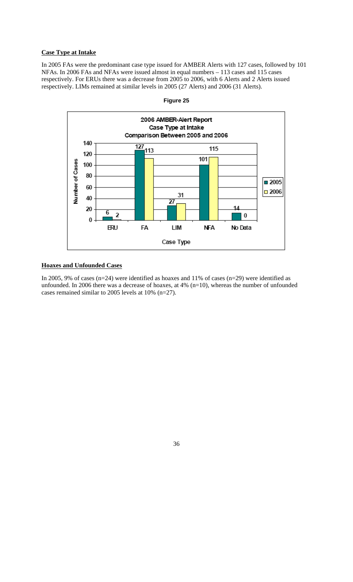### **Case Type at Intake**

In 2005 FAs were the predominant case type issued for AMBER Alerts with 127 cases, followed by 101 NFAs. In 2006 FAs and NFAs were issued almost in equal numbers – 113 cases and 115 cases respectively. For ERUs there was a decrease from 2005 to 2006, with 6 Alerts and 2 Alerts issued respectively. LIMs remained at similar levels in 2005 (27 Alerts) and 2006 (31 Alerts).



**Figure 25** 

# **Hoaxes and Unfounded Cases**

In 2005, 9% of cases (n=24) were identified as hoaxes and 11% of cases (n=29) were identified as unfounded. In 2006 there was a decrease of hoaxes, at 4% (n=10), whereas the number of unfounded cases remained similar to 2005 levels at 10% (n=27).

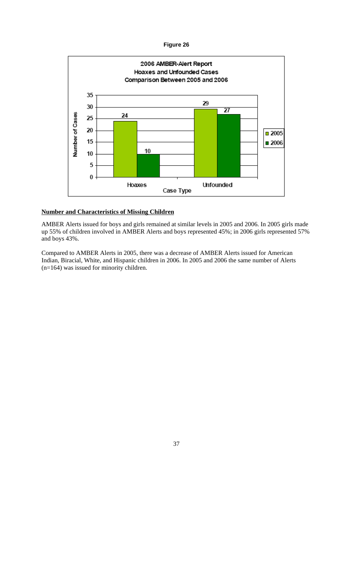

### **Number and Characteristics of Missing Children**

AMBER Alerts issued for boys and girls remained at similar levels in 2005 and 2006. In 2005 girls made up 55% of children involved in AMBER Alerts and boys represented 45%; in 2006 girls represented 57% and boys 43%.

Compared to AMBER Alerts in 2005, there was a decrease of AMBER Alerts issued for American Indian, Biracial, White, and Hispanic children in 2006. In 2005 and 2006 the same number of Alerts (n=164) was issued for minority children.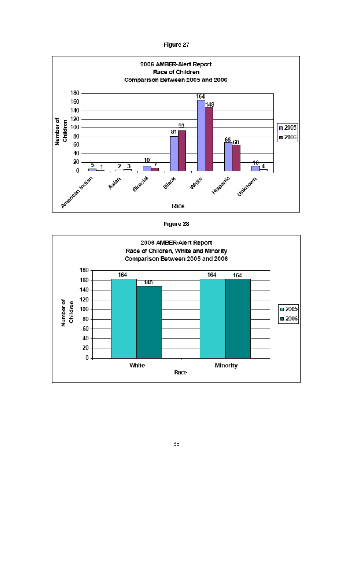

**Figure 28**